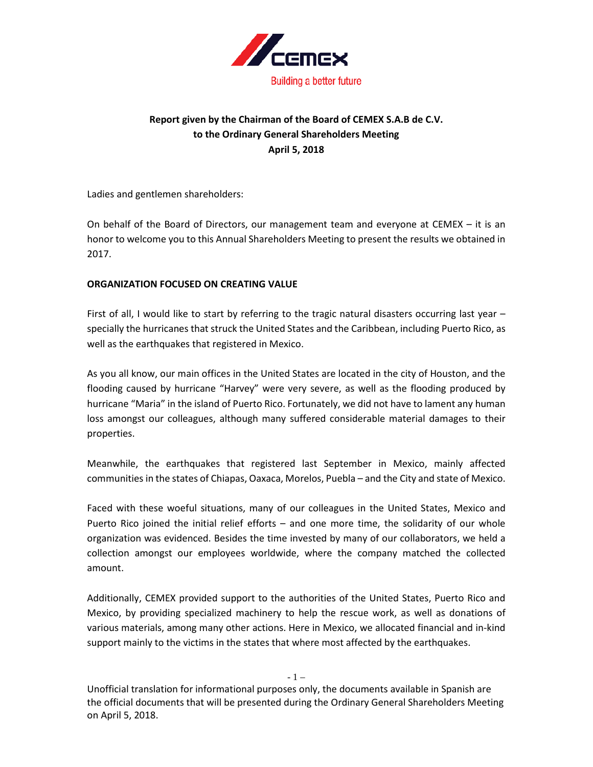

# **Report given by the Chairman of the Board of CEMEX S.A.B de C.V. to the Ordinary General Shareholders Meeting April 5, 2018**

Ladies and gentlemen shareholders:

On behalf of the Board of Directors, our management team and everyone at CEMEX – it is an honor to welcome you to this Annual Shareholders Meeting to present the results we obtained in 2017.

## **ORGANIZATION FOCUSED ON CREATING VALUE**

First of all, I would like to start by referring to the tragic natural disasters occurring last year – specially the hurricanes that struck the United States and the Caribbean, including Puerto Rico, as well as the earthquakes that registered in Mexico.

As you all know, our main offices in the United States are located in the city of Houston, and the flooding caused by hurricane "Harvey" were very severe, as well as the flooding produced by hurricane "Maria" in the island of Puerto Rico. Fortunately, we did not have to lament any human loss amongst our colleagues, although many suffered considerable material damages to their properties.

Meanwhile, the earthquakes that registered last September in Mexico, mainly affected communities in the states of Chiapas, Oaxaca, Morelos, Puebla – and the City and state of Mexico.

Faced with these woeful situations, many of our colleagues in the United States, Mexico and Puerto Rico joined the initial relief efforts – and one more time, the solidarity of our whole organization was evidenced. Besides the time invested by many of our collaborators, we held a collection amongst our employees worldwide, where the company matched the collected amount.

Additionally, CEMEX provided support to the authorities of the United States, Puerto Rico and Mexico, by providing specialized machinery to help the rescue work, as well as donations of various materials, among many other actions. Here in Mexico, we allocated financial and in-kind support mainly to the victims in the states that where most affected by the earthquakes.

Unofficial translation for informational purposes only, the documents available in Spanish are the official documents that will be presented during the Ordinary General Shareholders Meeting on April 5, 2018.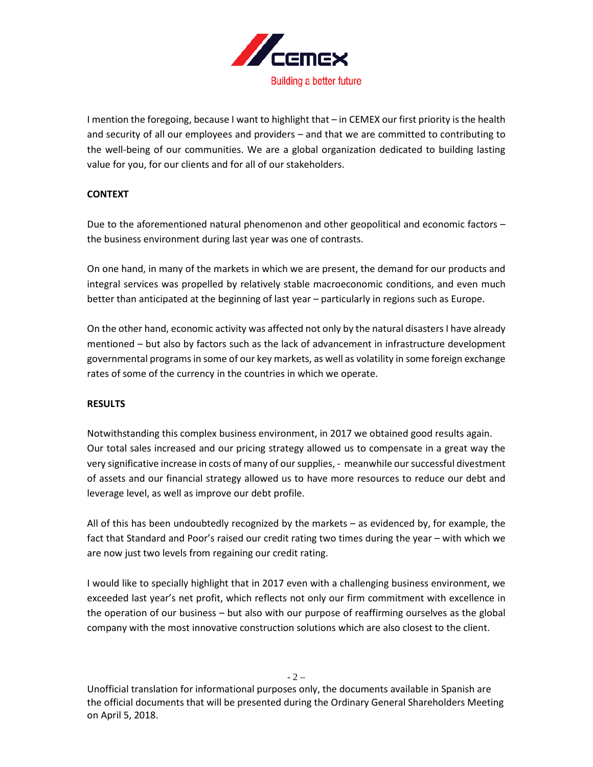

I mention the foregoing, because I want to highlight that – in CEMEX our first priority is the health and security of all our employees and providers – and that we are committed to contributing to the well-being of our communities. We are a global organization dedicated to building lasting value for you, for our clients and for all of our stakeholders.

## **CONTEXT**

Due to the aforementioned natural phenomenon and other geopolitical and economic factors – the business environment during last year was one of contrasts.

On one hand, in many of the markets in which we are present, the demand for our products and integral services was propelled by relatively stable macroeconomic conditions, and even much better than anticipated at the beginning of last year – particularly in regions such as Europe.

On the other hand, economic activity was affected not only by the natural disasters I have already mentioned – but also by factors such as the lack of advancement in infrastructure development governmental programsin some of our key markets, as well as volatility in some foreign exchange rates of some of the currency in the countries in which we operate.

### **RESULTS**

Notwithstanding this complex business environment, in 2017 we obtained good results again. Our total sales increased and our pricing strategy allowed us to compensate in a great way the very significative increase in costs of many of our supplies, - meanwhile our successful divestment of assets and our financial strategy allowed us to have more resources to reduce our debt and leverage level, as well as improve our debt profile.

All of this has been undoubtedly recognized by the markets – as evidenced by, for example, the fact that Standard and Poor's raised our credit rating two times during the year – with which we are now just two levels from regaining our credit rating.

I would like to specially highlight that in 2017 even with a challenging business environment, we exceeded last year's net profit, which reflects not only our firm commitment with excellence in the operation of our business – but also with our purpose of reaffirming ourselves as the global company with the most innovative construction solutions which are also closest to the client.

Unofficial translation for informational purposes only, the documents available in Spanish are the official documents that will be presented during the Ordinary General Shareholders Meeting on April 5, 2018.